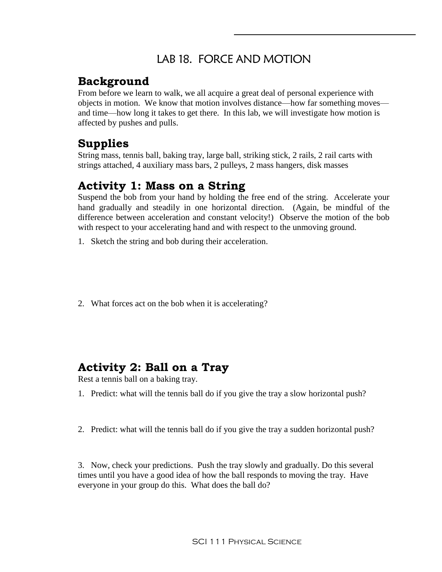## LAB 18. FORCE AND MOTION

#### **Background**

From before we learn to walk, we all acquire a great deal of personal experience with objects in motion. We know that motion involves distance—how far something moves and time—how long it takes to get there. In this lab, we will investigate how motion is affected by pushes and pulls.

## **Supplies**

String mass, tennis ball, baking tray, large ball, striking stick, 2 rails, 2 rail carts with strings attached, 4 auxiliary mass bars, 2 pulleys, 2 mass hangers, disk masses

## **Activity 1: Mass on a String**

Suspend the bob from your hand by holding the free end of the string. Accelerate your hand gradually and steadily in one horizontal direction. (Again, be mindful of the difference between acceleration and constant velocity!) Observe the motion of the bob with respect to your accelerating hand and with respect to the unmoving ground.

- 1. Sketch the string and bob during their acceleration.
- 2. What forces act on the bob when it is accelerating?

### **Activity 2: Ball on a Tray**

Rest a tennis ball on a baking tray.

- 1. Predict: what will the tennis ball do if you give the tray a slow horizontal push?
- 2. Predict: what will the tennis ball do if you give the tray a sudden horizontal push?

3. Now, check your predictions. Push the tray slowly and gradually. Do this several times until you have a good idea of how the ball responds to moving the tray. Have everyone in your group do this. What does the ball do?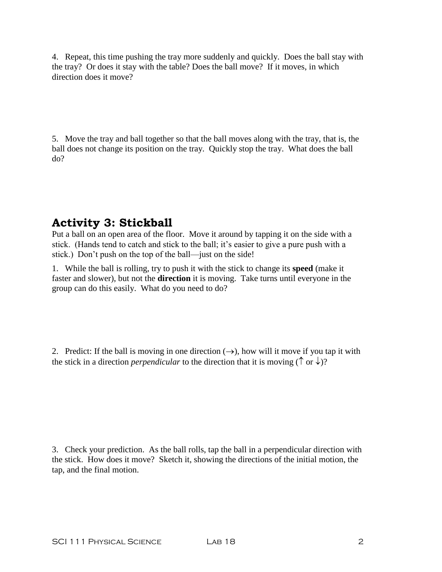4. Repeat, this time pushing the tray more suddenly and quickly. Does the ball stay with the tray? Or does it stay with the table? Does the ball move? If it moves, in which direction does it move?

5. Move the tray and ball together so that the ball moves along with the tray, that is, the ball does not change its position on the tray. Quickly stop the tray. What does the ball do?

# **Activity 3: Stickball**

Put a ball on an open area of the floor. Move it around by tapping it on the side with a stick. (Hands tend to catch and stick to the ball; it's easier to give a pure push with a stick.) Don't push on the top of the ball—just on the side!

1. While the ball is rolling, try to push it with the stick to change its **speed** (make it faster and slower), but not the **direction** it is moving. Take turns until everyone in the group can do this easily. What do you need to do?

2. Predict: If the ball is moving in one direction  $(\rightarrow)$ , how will it move if you tap it with the stick in a direction *perpendicular* to the direction that it is moving ( $\uparrow$  or  $\downarrow$ )?

3. Check your prediction. As the ball rolls, tap the ball in a perpendicular direction with the stick. How does it move? Sketch it, showing the directions of the initial motion, the tap, and the final motion.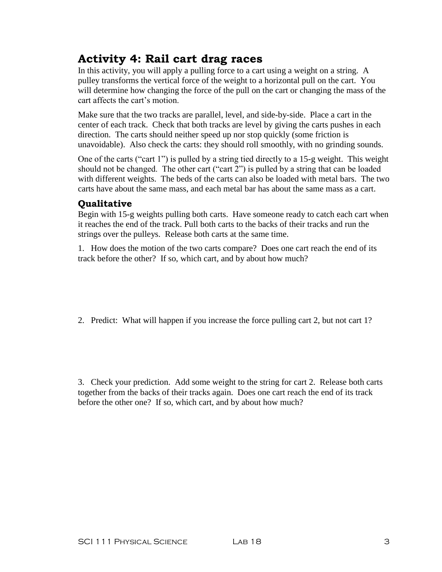# **Activity 4: Rail cart drag races**

In this activity, you will apply a pulling force to a cart using a weight on a string. A pulley transforms the vertical force of the weight to a horizontal pull on the cart. You will determine how changing the force of the pull on the cart or changing the mass of the cart affects the cart's motion.

Make sure that the two tracks are parallel, level, and side-by-side. Place a cart in the center of each track. Check that both tracks are level by giving the carts pushes in each direction. The carts should neither speed up nor stop quickly (some friction is unavoidable). Also check the carts: they should roll smoothly, with no grinding sounds.

One of the carts ("cart 1") is pulled by a string tied directly to a 15-g weight. This weight should not be changed. The other cart ("cart 2") is pulled by a string that can be loaded with different weights. The beds of the carts can also be loaded with metal bars. The two carts have about the same mass, and each metal bar has about the same mass as a cart.

#### **Qualitative**

Begin with 15-g weights pulling both carts. Have someone ready to catch each cart when it reaches the end of the track. Pull both carts to the backs of their tracks and run the strings over the pulleys. Release both carts at the same time.

1. How does the motion of the two carts compare? Does one cart reach the end of its track before the other? If so, which cart, and by about how much?

2. Predict: What will happen if you increase the force pulling cart 2, but not cart 1?

3. Check your prediction. Add some weight to the string for cart 2. Release both carts together from the backs of their tracks again. Does one cart reach the end of its track before the other one? If so, which cart, and by about how much?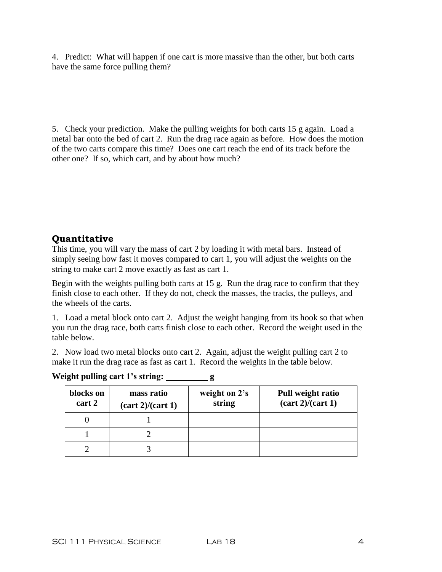4. Predict: What will happen if one cart is more massive than the other, but both carts have the same force pulling them?

5. Check your prediction. Make the pulling weights for both carts 15 g again. Load a metal bar onto the bed of cart 2. Run the drag race again as before. How does the motion of the two carts compare this time? Does one cart reach the end of its track before the other one? If so, which cart, and by about how much?

#### **Quantitative**

This time, you will vary the mass of cart 2 by loading it with metal bars. Instead of simply seeing how fast it moves compared to cart 1, you will adjust the weights on the string to make cart 2 move exactly as fast as cart 1.

Begin with the weights pulling both carts at 15 g. Run the drag race to confirm that they finish close to each other. If they do not, check the masses, the tracks, the pulleys, and the wheels of the carts.

1. Load a metal block onto cart 2. Adjust the weight hanging from its hook so that when you run the drag race, both carts finish close to each other. Record the weight used in the table below.

2. Now load two metal blocks onto cart 2. Again, adjust the weight pulling cart 2 to make it run the drag race as fast as cart 1. Record the weights in the table below.

| blocks on<br>cart 2 | mass ratio<br>$(\text{cart } 2)/(\text{cart } 1)$ | weight on 2's<br>string | Pull weight ratio<br>$(\text{cart } 2)/(\text{cart } 1)$ |
|---------------------|---------------------------------------------------|-------------------------|----------------------------------------------------------|
|                     |                                                   |                         |                                                          |
|                     |                                                   |                         |                                                          |
|                     |                                                   |                         |                                                          |

**Weight pulling cart 1's string: g**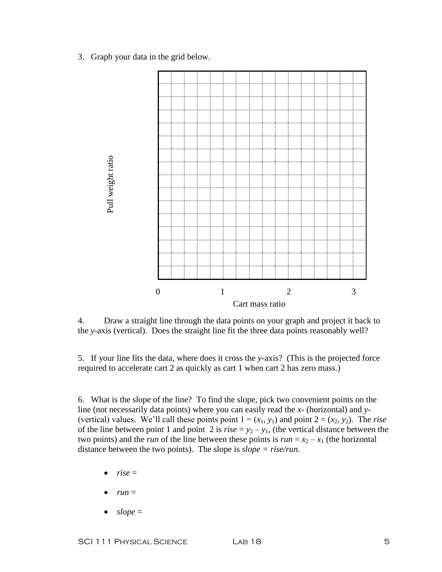3. Graph your data in the grid below.



4. Draw a straight line through the data points on your graph and project it back to the *y*-axis (vertical). Does the straight line fit the three data points reasonably well?

5. If your line fits the data, where does it cross the *y*-axis? (This is the projected force required to accelerate cart 2 as quickly as cart 1 when cart 2 has zero mass.)

6. What is the slope of the line? To find the slope, pick two convenient points on the line (not necessarily data points) where you can easily read the *x*- (horizontal) and *y*- (vertical) values. We'll call these points point  $1 = (x_1, y_1)$  and point  $2 = (x_2, y_2)$ . The *rise* of the line between point 1 and point 2 is  $rise = y_2 - y_1$ , (the vertical distance between the two points) and the *run* of the line between these points is  $run = x_2 - x_1$  (the horizontal distance between the two points). The slope is *slope = rise/run*.

- *rise* =
- $run =$
- *slope* =